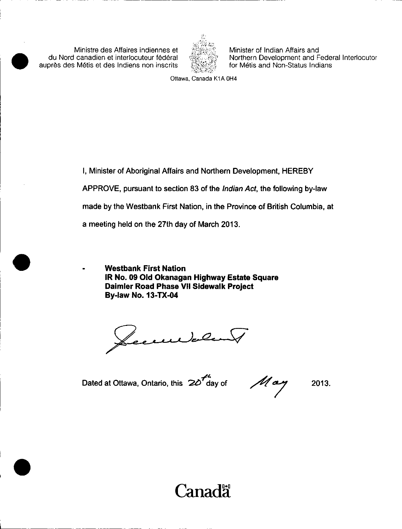Ministre des Affaires indiennes et du Nord canadien et interlocuteur federal aupres des Metis et des Indiens non inscrits



Minister of Indian Affairs and Northern Development and Federal Interlocutor for Métis and Non-Status Indians

Ottawa, Canada K1A OH4

I, Minister of Aboriginal Affairs and Northern Development, HEREBY APPROVE, pursuant to section 83 of the Indian Act, the following by-law made by the Westbank First Nation, in the Province of British Columbia, at a meeting held on the 27th day of March 2013.

Westbank First Nation IR No. 09 Old Okanagan Highway Estate Square Daimler Road Phase VII Sidewalk Project By -law No. 13 -TX -04

ecurbent

4 Dated at Ottawa, Ontario, this  $\boldsymbol{2}\boldsymbol{\mathcal{O}}'$  day of

 $M$ ay 2013.

# Canada<sup>.</sup>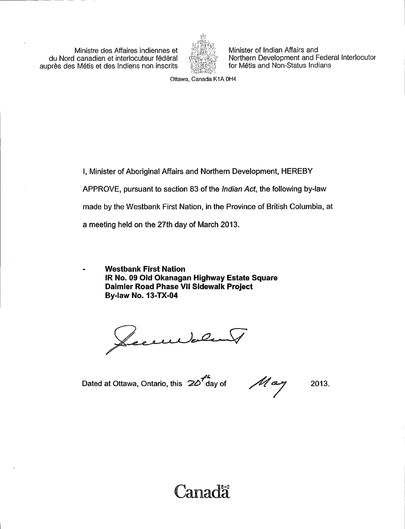Ministre des Affaires indiennes et du Nord canadien et interlocuteur federal aupres des Metis et des Indiens non inscrits



Minister of Indian Affairs and Northern Development and Federal Interlocutor for Métis and Non-Status Indians

Ottawa, Canada K1A OH4

I, Minister of Aboriginal Affairs and Northern Development, HEREBY APPROVE, pursuant to section 83 of the *Indian Act*, the following by-law made by the Westbank First Nation, in the Province of British Columbia, at a meeting held on the 27th day of March 2013.

Westbank First Nation IR No. 09 Old Okanagan Highway Estate Square Daimler Road Phase VII Sidewalk Project By -law No. 13 -TX -04

Lecculate

Dated at Ottawa, Ontario, this  $20<sup>7</sup>$ day of

May

2013.

# Canadä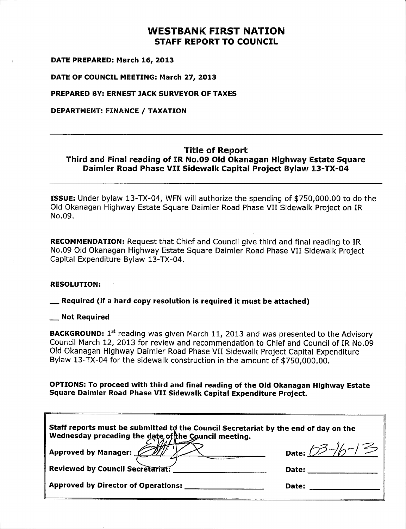### WESTBANK FIRST NATION STAFF REPORT TO COUNCIL

DATE PREPARED: March 16, 2013

DATE OF COUNCIL MEETING: March 27, 2013

PREPARED BY: ERNEST JACK SURVEYOR OF TAXES

DEPARTMENT: FINANCE / TAXATION

#### Title of Report Third and Final reading of IR No. 09 OId Okanagan Highway Estate Square Daimler Road Phase VII Sidewalk Capital Project Bylaw 13 -TX -04

**ISSUE:** Under bylaw 13-TX-04, WFN will authorize the spending of \$750,000.00 to do the Old Okanagan Highway Estate Square Daimler Road Phase VII Sidewalk Project on IR No. 09.

RECOMMENDATION: Request that Chief and Council give third and final reading to IR No. 09 Old Okanagan Highway Estate Square Daimler Road Phase VII Sidewalk Project Capital Expenditure Bylaw 13-TX-04.

#### RESOLUTION:

Required ( if <sup>a</sup> hard copy resolution is required it must be attached)

#### Not Required

**BACKGROUND:**  $1^{st}$  reading was given March 11, 2013 and was presented to the Advisory Council March 12, 2013 for review and recommendation to Chief and Council of IR No. 09 OId Okanagan Highway Daimler Road Phase VII Sidewalk Project Capital Expenditure Bylaw 13-TX-04 for the sidewalk construction in the amount of \$750,000.00.

OPTIONS: To proceed with third and final reading of the OId Okanagan Highway Estate Square Daimler Road Phase VII Sidewalk Capital Expenditure Project.

| Staff reports must be submitted to the Council Secretariat by the end of day on the<br>$\parallel$ Wednesday preceding the date of the Council meeting. |                      |  |
|---------------------------------------------------------------------------------------------------------------------------------------------------------|----------------------|--|
| Approved by Manager: $\cancel{\mathscr{D}\mathscr{D}}$                                                                                                  | Date: $03 - 16 - 15$ |  |
| Reviewed by Council Secretariat:                                                                                                                        | Date:                |  |
| Approved by Director of Operations:                                                                                                                     | Date:                |  |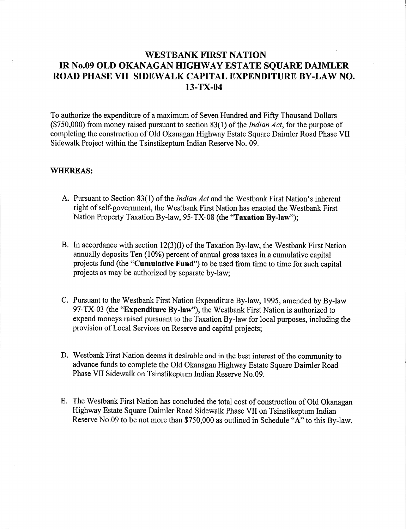### WESTBANK FIRST NATION IR No.09 OLD OKANAGAN HIGHWAY ESTATE SQUARE DAIMLER ROAD PHASE VII SIDEWALK CAPITAL EXPENDITURE BY -LAW NO. 13 -TX -04

To authorize the expenditure of <sup>a</sup> maximum of Seven Hundred and Fifty Thousand Dollars  $(*750,000)$  from money raised pursuant to section 83(1) of the *Indian Act*, for the purpose of completing the construction of Old Okanagan Highway Estate Square Daimler Road Phase VII Sidewalk Project within the Tsinstikeptum Indian Reserve No. 09.

#### WHEREAS:

- A. Pursuant to Section 83(1) of the *Indian Act* and the Westbank First Nation's inherent right of self-government, the Westbank First Nation has enacted the Westbank First Nation Property Taxation By-law, 95-TX-08 (the "Taxation By-law");
- B. In accordance with section 12(3)(1) of the Taxation By-law, the Westbank First Nation annually deposits Ten (10%) percent of annual gross taxes in a cumulative capital projects fund (the "Cumulative Fund") to be used from time to time for such capital projects as may be authorized by separate by -law;
- C. Pursuant to the Westbank First Nation Expenditure By -law, 1995, amended by By -law 97-TX-03 (the "Expenditure By-law"), the Westbank First Nation is authorized to expend moneys raised pursuant to the Taxation By -law for local purposes, including the provision of Local Services on Reserve and capital projects;
- D. Westbank First Nation deems it desirable and in the best interest of the community to advance funds to complete the Old Okanagan Highway Estate Square Daimler Road Phase VII Sidewalk on Tsinstikeptum Indian Reserve No.09.
- E. The Westbank First Nation has concluded the total cost of construction of Old Okanagan Highway Estate Square Daimler Road Sidewalk Phase VII on Tsinstikeptum Indian Reserve No.09 to be not more than \$750,000 as outlined in Schedule "A" to this By-law.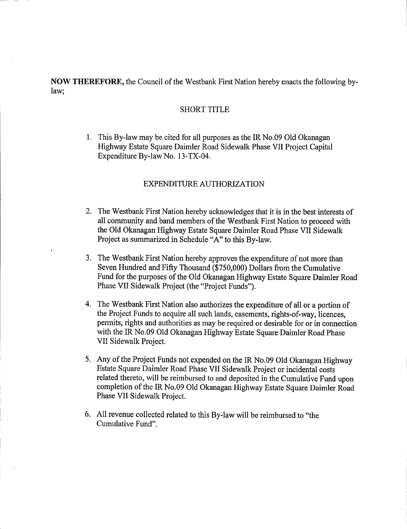NOW THEREFORE, the Council of the Westbank First Nation hereby enacts the following bylaw;

#### SHORT TITLE

1. This By -law may be cited for all purposes as the IR No.09 Old Okanagan Highway Estate Square Daimler Road Sidewalk Phase VII Project Capital Expenditure By-law No. 13-TX-04.

#### EXPENDITURE AUTHORIZATION

- 2. The Westbank First Nation hereby acknowledges that it is in the best interests of all community and band members of the Westbank First Nation to proceed with the Old Okanagan Highway Estate Square Daimler Road Phase VII Sidewalk Project as summarized in Schedule "A" to this By -law.
- 3. The Westbank First Nation hereby approves the expenditure of not more than Seven Hundred and Fifty Thousand (\$750,000) Dollars from the Cumulative Fund for the purposes of the Old Okanagan Highway Estate Square Daimler Road Phase VII Sidewalk Project (the "Project Funds").
- 4. The Westbank First Nation also authorizes the expenditure of all or a portion of the Project Funds to acquire all such lands, easements, rights-of-way, licences, permits, rights and authorities as may be required or desirable for or in connection with the IR No. 09 Old Okanagan Highway Estate Square Daimler Road Phase VII Sidewalk Project.
- 5. Any of the Project Funds not expended on the IR No.09 Old Okanagan Highway Estate Square Daimler Road Phase VII Sidewalk Project or incidental costs related thereto, will be reimbursed to and deposited in the Cumulative Fund upon completion of the IR No. 09 Old Okanagan Highway Estate Square Daimler Road Phase VII Sidewalk Project.
- 6. All revenue collected related to this By -law will be reimbursed to " the Cumulative Fund".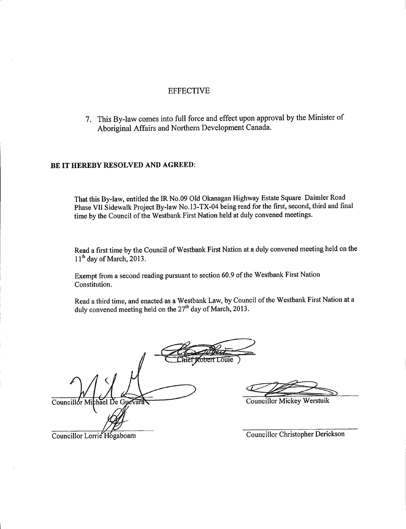#### EFFECTIVE

7. This By -law comes into full force and effect upon approval by the Minister of Aboriginal Affairs and Northern Development Canada.

#### BE IT HEREBY RESOLVED AND AGREED:

That this By -law, entitled the IR No. 09 Old Okanagan Highway Estate Square Daimler Road Phase VII Sidewalk Project By -law No. 13 -TX -04 being read for the first, second, third and final time by the Council of the Westbank First Nation held at duly convened meetings.

Read <sup>a</sup> first time by the Council of Westbank First Nation at <sup>a</sup> duly convened meeting held on the  $11<sup>th</sup>$  day of March, 2013.

Exempt from <sup>a</sup> second reading pursuant to section 60. <sup>9</sup> of the Westbank First Nation Constitution.

Read <sup>a</sup> third time, and enacted as <sup>a</sup> Westbank Law, by Council of the Westbank First Nation at <sup>a</sup> duly convened meeting held on the  $27<sup>m</sup>$  day of March, 2013.

Councillor Mi  $\Delta$ chael De Gu EFFECTIVE<br>
By-law comes into full force and effect upon upperval by the Minister of<br>
riginal Affairs and Northern Development Canada<br>
SSOLVED AND AGREED-<br>
How, entitled the R No.00 Old Octonappe Highway Eudate Square Dimin

Councillor Lorrie Hogaboam

Councillor Christopher Derickson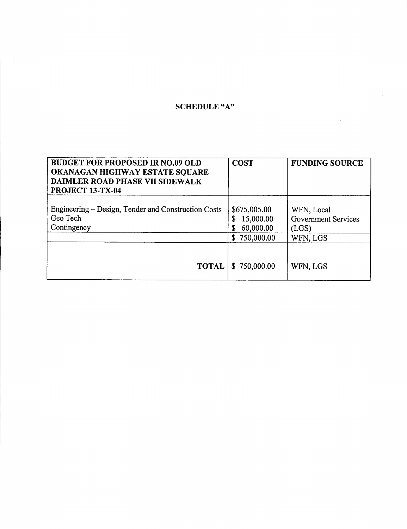## SCHEDULE "A"

| <b>BUDGET FOR PROPOSED IR NO.09 OLD</b><br>OKANAGAN HIGHWAY ESTATE SQUARE<br>DAIMLER ROAD PHASE VII SIDEWALK<br>PROJECT 13-TX-04 | <b>COST</b>                                                  | <b>FUNDING SOURCE</b>                                         |
|----------------------------------------------------------------------------------------------------------------------------------|--------------------------------------------------------------|---------------------------------------------------------------|
| Engineering – Design, Tender and Construction Costs<br>Geo Tech<br>Contingency                                                   | \$675,005.00<br>15,000.00<br>\$<br>60,000.00<br>\$750,000.00 | WFN, Local<br><b>Government Services</b><br>(LGS)<br>WFN, LGS |
| <b>TOTAL</b>                                                                                                                     | \$750,000.00                                                 | WFN, LGS                                                      |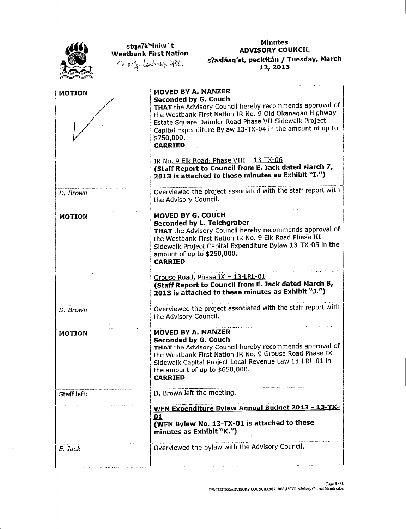

stqa?k<sup>w</sup>iníw`t Westbank First Nation<br>*Cospecify*: Leadarship.  $\mathbb{R}^d$ .

#### Minutes ADVISORY COUNCIL s?aslásq'et, pəck†tán / Tuesday, Marci 12, 2013

| <b>MOTION</b> | MOVED BY A. MANZER<br><b>Seconded by G. Couch</b><br>THAT the Advisory Council hereby recommends approval of<br>the Westbank First Nation IR No. 9 Old Okanagan Highway<br>Estate Square Daimler Road Phase VII Sidewalk Project<br>Capital Expenditure Bylaw 13-TX-04 in the amount of up to<br>\$750,000.<br><b>CARRIED</b> |
|---------------|-------------------------------------------------------------------------------------------------------------------------------------------------------------------------------------------------------------------------------------------------------------------------------------------------------------------------------|
|               | IR No. 9 Elk Road, Phase VIII - 13-TX-06<br>(Staff Report to Council from E. Jack dated March 7,<br>2013 is attached to these minutes as Exhibit "I.")                                                                                                                                                                        |
| D. Brown      | Overviewed the project associated with the staff report with<br>the Advisory Council.                                                                                                                                                                                                                                         |
| <b>MOTION</b> | MOVED BY G. COUCH<br>Seconded by L. Teichgraber<br>THAT the Advisory Council hereby recommends approval of<br>the Westbank First Nation IR No. 9 Elk Road Phase III<br>Sidewalk Project Capital Expenditure Bylaw 13-TX-05 in the<br>amount of up to \$250,000.<br><b>CARRIED</b>                                             |
|               | Grouse Road, Phase IX - 13-LRL-01<br>(Staff Report to Council from E. Jack dated March 8,<br>2013 is attached to these minutes as Exhibit "J.")                                                                                                                                                                               |
| D. Brown      | Overviewed the project associated with the staff report with<br>the Advisory Council.                                                                                                                                                                                                                                         |
| <b>MOTION</b> | MOVED BY A. MANZER<br>Seconded by G. Couch<br>THAT the Advisory Council hereby recommends approval of<br>the Westbank First Nation IR No. 9 Grouse Road Phase IX<br>Sidewalk Capital Project Local Revenue Law 13-LRL-01 in<br>the amount of up to \$650,000.<br><b>CARRIED</b>                                               |
| Staff left:   | D. Brown left the meeting.<br>WFN Expenditure Bylaw Annual Budget 2013 - 13-TX-<br>01<br>(WFN Bylaw No. 13-TX-01 is attached to these<br>minutes as Exhibit "K.")                                                                                                                                                             |
| E. Jack       | Overviewed the bylaw with the Advisory Council.                                                                                                                                                                                                                                                                               |